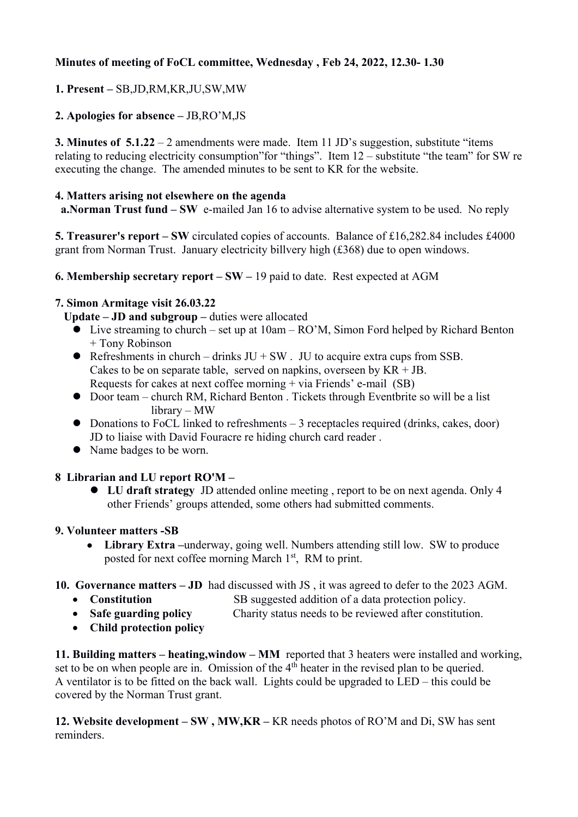# **Minutes of meeting of FoCL committee, Wednesday , Feb 24, 2022, 12.30- 1.30**

# **1. Present –** SB,JD,RM,KR,JU,SW,MW

## **2. Apologies for absence –** JB,RO'M,JS

**3. Minutes of 5.1.22** – 2 amendments were made. Item 11 JD's suggestion, substitute "items" relating to reducing electricity consumption"for "things". Item 12 – substitute "the team" for SW re executing the change. The amended minutes to be sent to KR for the website.

#### **4. Matters arising not elsewhere on the agenda**

**a.Norman Trust fund – SW** e-mailed Jan 16 to advise alternative system to be used. No reply

**5. Treasurer's report – SW** circulated copies of accounts. Balance of £16,282.84 includes £4000 grant from Norman Trust. January electricity billvery high (£368) due to open windows.

**6. Membership secretary report – SW –** 19 paid to date. Rest expected at AGM

## **7. Simon Armitage visit 26.03.22**

Update – **JD** and subgroup – duties were allocated

- Live streaming to church set up at 10am RO'M, Simon Ford helped by Richard Benton + Tony Robinson
- Refreshments in church drinks  $JU + SW$ . JU to acquire extra cups from SSB. Cakes to be on separate table, served on napkins, overseen by  $KR + JB$ . Requests for cakes at next coffee morning + via Friends' e-mail (SB)
- Door team church RM, Richard Benton . Tickets through Eventbrite so will be a list library – MW
- $\bullet$  Donations to FoCL linked to refreshments 3 receptacles required (drinks, cakes, door) JD to liaise with David Fouracre re hiding church card reader .
- Name badges to be worn.

## **8 Librarian and LU report RO'M –**

 **LU draft strategy** JD attended online meeting , report to be on next agenda. Only 4 other Friends' groups attended, some others had submitted comments.

#### **9. Volunteer matters -SB**

- **Library Extra –**underway, going well. Numbers attending still low. SW to produce posted for next coffee morning March 1<sup>st</sup>, RM to print.
- **10. Governance matters JD** had discussed with JS , it was agreed to defer to the 2023 AGM.
	- **Constitution SB** suggested addition of a data protection policy.
	- **Safe guarding policy** Charity status needs to be reviewed after constitution.
	- **Child protection policy**

**11. Building matters – heating,window – MM** reported that 3 heaters were installed and working, set to be on when people are in. Omission of the  $4<sup>th</sup>$  heater in the revised plan to be queried. A ventilator is to be fitted on the back wall. Lights could be upgraded to LED – this could be covered by the Norman Trust grant.

**12. Website development – SW , MW,KR –** KR needs photos of RO'M and Di, SW has sent reminders.